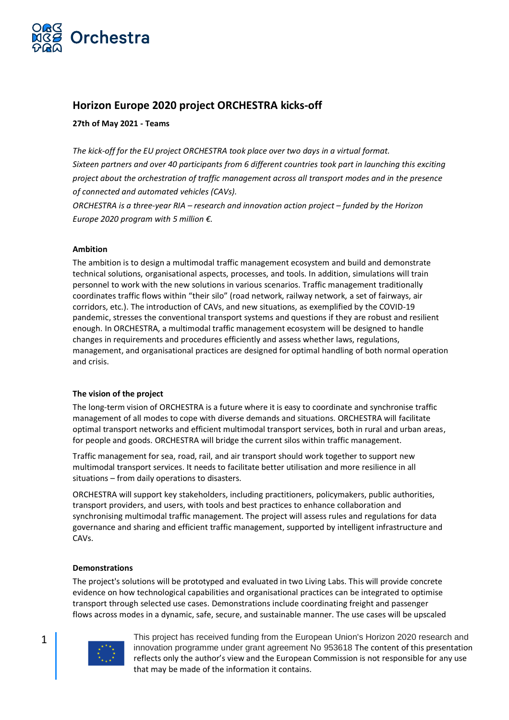

# **Horizon Europe 2020 project ORCHESTRA kicks-off**

# **27th of May 2021 - Teams**

*The kick-off for the EU project ORCHESTRA took place over two days in a virtual format. Sixteen partners and over 40 participants from 6 different countries took part in launching this exciting project about the orchestration of traffic management across all transport modes and in the presence of connected and automated vehicles (CAVs).*

*ORCHESTRA is a three-year RIA – research and innovation action project – funded by the Horizon Europe 2020 program with 5 million €.*

# **Ambition**

The ambition is to design a multimodal traffic management ecosystem and build and demonstrate technical solutions, organisational aspects, processes, and tools. In addition, simulations will train personnel to work with the new solutions in various scenarios. Traffic management traditionally coordinates traffic flows within "their silo" (road network, railway network, a set of fairways, air corridors, etc.). The introduction of CAVs, and new situations, as exemplified by the COVID-19 pandemic, stresses the conventional transport systems and questions if they are robust and resilient enough. In ORCHESTRA, a multimodal traffic management ecosystem will be designed to handle changes in requirements and procedures efficiently and assess whether laws, regulations, management, and organisational practices are designed for optimal handling of both normal operation and crisis.

# **The vision of the project**

The long-term vision of ORCHESTRA is a future where it is easy to coordinate and synchronise traffic management of all modes to cope with diverse demands and situations. ORCHESTRA will facilitate optimal transport networks and efficient multimodal transport services, both in rural and urban areas, for people and goods. ORCHESTRA will bridge the current silos within traffic management.

Traffic management for sea, road, rail, and air transport should work together to support new multimodal transport services. It needs to facilitate better utilisation and more resilience in all situations – from daily operations to disasters.

ORCHESTRA will support key stakeholders, including practitioners, policymakers, public authorities, transport providers, and users, with tools and best practices to enhance collaboration and synchronising multimodal traffic management. The project will assess rules and regulations for data governance and sharing and efficient traffic management, supported by intelligent infrastructure and CAVs.

#### **Demonstrations**

The project's solutions will be prototyped and evaluated in two Living Labs. This will provide concrete evidence on how technological capabilities and organisational practices can be integrated to optimise transport through selected use cases. Demonstrations include coordinating freight and passenger flows across modes in a dynamic, safe, secure, and sustainable manner. The use cases will be upscaled

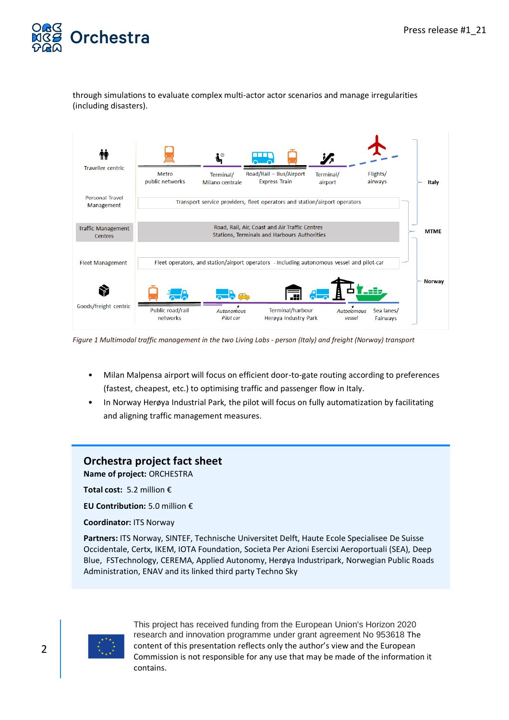

through simulations to evaluate complex multi-actor actor scenarios and manage irregularities (including disasters).



*Figure 1 Multimodal traffic management in the two Living Labs - person (Italy) and freight (Norway) transport*

- Milan Malpensa airport will focus on efficient door-to-gate routing according to preferences (fastest, cheapest, etc.) to optimising traffic and passenger flow in Italy.
- In Norway Herøya Industrial Park, the pilot will focus on fully automatization by facilitating and aligning traffic management measures.

# **Orchestra project fact sheet**

**Name of project:** ORCHESTRA

**Total cost:** 5.2 million €

**EU Contribution:** 5.0 million €

**Coordinator:** ITS Norway

**Partners:** ITS Norway, SINTEF, Technische Universitet Delft, Haute Ecole Specialisee De Suisse Occidentale, Certx, IKEM, IOTA Foundation, Societa Per Azioni Esercixi Aeroportuali (SEA), Deep Blue, FSTechnology, CEREMA, Applied Autonomy, Herøya Industripark, Norwegian Public Roads Administration, ENAV and its linked third party Techno Sky

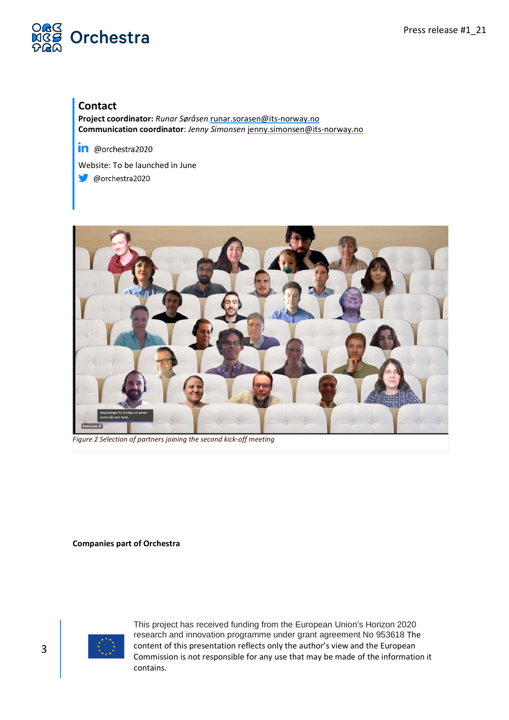

# **Contact**

**Project coordinator:** *Runar Søråsen* [runar.sorasen@its-norway.no](mailto:runar.sorasen@its-norway.no)  **Communication coordinator**: *Jenny Simonsen* [jenny.simonsen@its-norway.no](mailto:jenny.simonsen@its-norway.no)

in @orchestra2020

Website: To be launched in June

@orchestra2020



*Figure 2 Selection of partners joining the second kick-off meeting*

**Companies part of Orchestra**

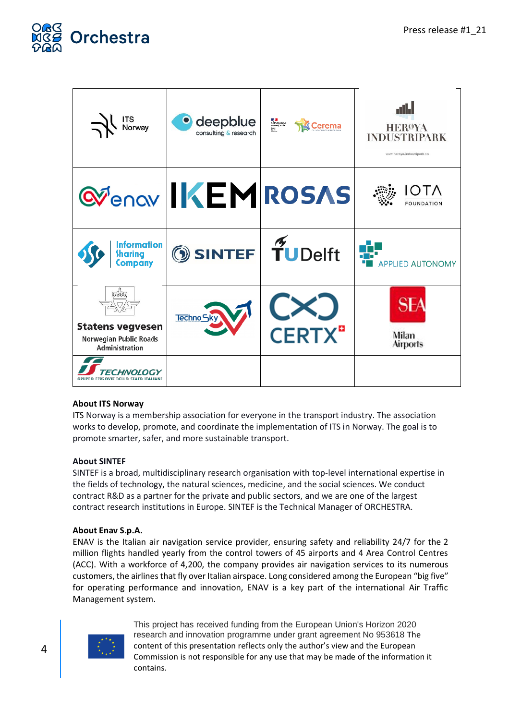

| ITS<br>Norway<br>$\prec$                                                 | deepblue<br>consulting & research | <b>ES SE<br/>RÉPUBLIQUE<br/>FRANÇAISE</b><br>Sen<br>Sen<br><b>Cerema</b> | الالت<br><b>HEROYA</b><br><b>INDUSTRIPARK</b><br>www.heroya-industripark.no |
|--------------------------------------------------------------------------|-----------------------------------|--------------------------------------------------------------------------|-----------------------------------------------------------------------------|
|                                                                          | <b>QUE AND INCOURS</b>            |                                                                          | <b>OTA</b><br><b>FOUNDATION</b>                                             |
| Information<br>Sharing<br>Company                                        | <b>SINTEF</b> TUDelft             |                                                                          | <b>APPLIED AUTONOMY</b>                                                     |
| <b>Statens vegvesen</b><br>Norwegian Public Roads<br>Administration      | Techno Sky                        | <b>CERTX</b> <sup>a</sup>                                                | Milan<br><b>Airports</b>                                                    |
| <i>CHNOLOGY</i><br><b>FERROVIE DELLO STATO ITALIANE</b><br><b>GRUPPO</b> |                                   |                                                                          |                                                                             |

# **About ITS Norway**

ITS Norway is a membership association for everyone in the transport industry. The association works to develop, promote, and coordinate the implementation of ITS in Norway. The goal is to promote smarter, safer, and more sustainable transport.

# **About SINTEF**

SINTEF is a broad, multidisciplinary research organisation with top-level international expertise in the fields of technology, the natural sciences, medicine, and the social sciences. We conduct contract R&D as a partner for the private and public sectors, and we are one of the largest contract research institutions in Europe. SINTEF is the Technical Manager of ORCHESTRA.

# **About Enav S.p.A.**

ENAV is the Italian air navigation service provider, ensuring safety and reliability 24/7 for the 2 million flights handled yearly from the control towers of 45 airports and 4 Area Control Centres (ACC). With a workforce of 4,200, the company provides air navigation services to its numerous customers, the airlines that fly over Italian airspace. Long considered among the European "big five" for operating performance and innovation, ENAV is a key part of the international Air Traffic Management system.

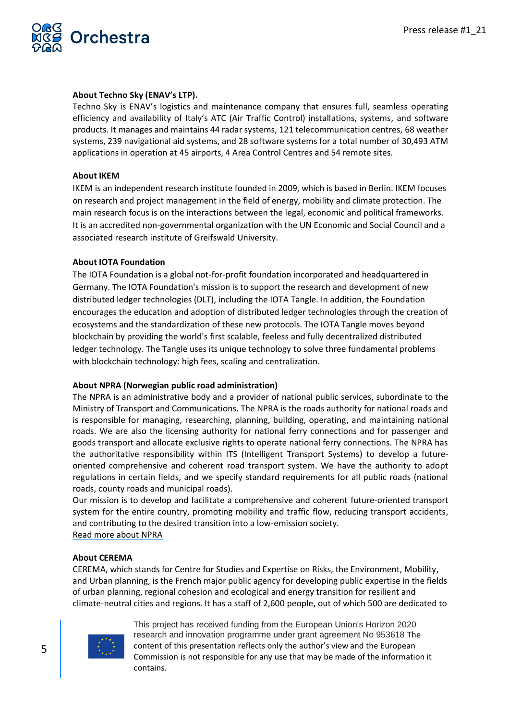

#### **About Techno Sky (ENAV's LTP).**

Techno Sky is ENAV's logistics and maintenance company that ensures full, seamless operating efficiency and availability of Italy's ATC (Air Traffic Control) installations, systems, and software products. It manages and maintains 44 radar systems, 121 telecommunication centres, 68 weather systems, 239 navigational aid systems, and 28 software systems for a total number of 30,493 ATM applications in operation at 45 airports, 4 Area Control Centres and 54 remote sites.

#### **About IKEM**

IKEM is an independent research institute founded in 2009, which is based in Berlin. IKEM focuses on research and project management in the field of energy, mobility and climate protection. The main research focus is on the interactions between the legal, economic and political frameworks. It is an accredited non-governmental organization with the UN Economic and Social Council and a associated research institute of Greifswald University.

#### **About IOTA Foundation**

The IOTA Foundation is a global not-for-profit foundation incorporated and headquartered in Germany. The IOTA Foundation's mission is to support the research and development of new distributed ledger technologies (DLT), including the IOTA Tangle. In addition, the Foundation encourages the education and adoption of distributed ledger technologies through the creation of ecosystems and the standardization of these new protocols. The IOTA Tangle moves beyond blockchain by providing the world's first scalable, feeless and fully decentralized distributed ledger technology. The Tangle uses its unique technology to solve three fundamental problems with blockchain technology: high fees, scaling and centralization.

#### **About NPRA (Norwegian public road administration)**

The NPRA is an administrative body and a provider of national public services, subordinate to the Ministry of Transport and Communications. The NPRA is the roads authority for national roads and is responsible for managing, researching, planning, building, operating, and maintaining national roads. We are also the licensing authority for national ferry connections and for passenger and goods transport and allocate exclusive rights to operate national ferry connections. The NPRA has the authoritative responsibility within ITS (Intelligent Transport Systems) to develop a futureoriented comprehensive and coherent road transport system. We have the authority to adopt regulations in certain fields, and we specify standard requirements for all public roads (national roads, county roads and municipal roads).

Our mission is to develop and facilitate a comprehensive and coherent future-oriented transport system for the entire country, promoting mobility and traffic flow, reducing transport accidents, and contributing to the desired transition into a low-emission society.

#### [Read more about NPRA](https://www.vegvesen.no/en/home)

# **About CEREMA**

CEREMA, which stands for Centre for Studies and Expertise on Risks, the Environment, Mobility, and Urban planning, is the French major public agency for developing public expertise in the fields of urban planning, regional cohesion and ecological and energy transition for resilient and climate-neutral cities and regions. It has a staff of 2,600 people, out of which 500 are dedicated to

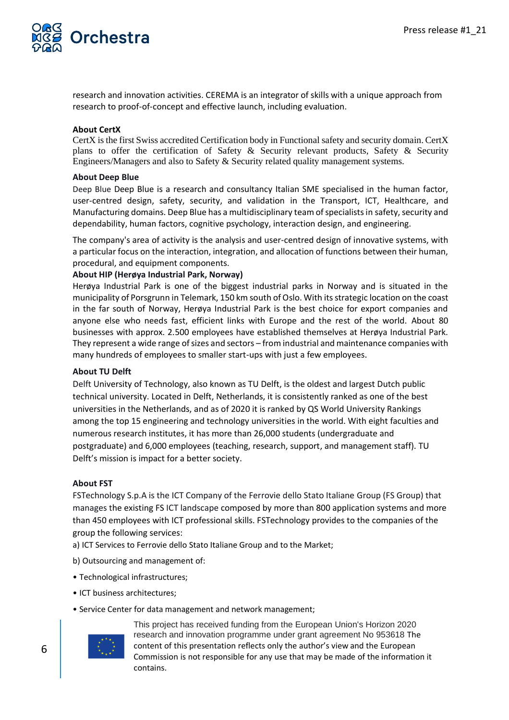

research and innovation activities. CEREMA is an integrator of skills with a unique approach from research to proof-of-concept and effective launch, including evaluation.

#### **About CertX**

CertX is the first Swiss accredited Certification body in Functional safety and security domain. CertX plans to offer the certification of Safety  $\&$  Security relevant products, Safety  $\&$  Security Engineers/Managers and also to Safety & Security related quality management systems.

#### **About Deep Blue**

Deep Blue Deep Blue is a research and consultancy Italian SME specialised in the human factor, user-centred design, safety, security, and validation in the Transport, ICT, Healthcare, and Manufacturing domains. Deep Blue has a multidisciplinary team of specialists in safety, security and dependability, human factors, cognitive psychology, interaction design, and engineering.

The company's area of activity is the analysis and user-centred design of innovative systems, with a particular focus on the interaction, integration, and allocation of functions between their human, procedural, and equipment components.

#### **About HIP (Herøya Industrial Park, Norway)**

Herøya Industrial Park is one of the biggest industrial parks in Norway and is situated in the municipality of Porsgrunn in Telemark, 150 km south of Oslo. With its strategic location on the coast in the far south of Norway, Herøya Industrial Park is the best choice for export companies and anyone else who needs fast, efficient links with Europe and the rest of the world. About 80 businesses with approx. 2.500 employees have established themselves at Herøya Industrial Park. They represent a wide range of sizes and sectors – from industrial and maintenance companies with many hundreds of employees to smaller start-ups with just a few employees.

#### **About TU Delft**

Delft University of Technology, also known as TU Delft, is the oldest and largest Dutch public technical university. Located in Delft, Netherlands, it is consistently ranked as one of the best universities in the Netherlands, and as of 2020 it is ranked by QS World University Rankings among the top 15 engineering and technology universities in the world. With eight faculties and numerous research institutes, it has more than 26,000 students (undergraduate and postgraduate) and 6,000 employees (teaching, research, support, and management staff). TU Delft's mission is impact for a better society.

#### **About FST**

FSTechnology S.p.A is the ICT Company of the Ferrovie dello Stato Italiane Group (FS Group) that manages the existing FS ICT landscape composed by more than 800 application systems and more than 450 employees with ICT professional skills. FSTechnology provides to the companies of the group the following services:

- a) ICT Services to Ferrovie dello Stato Italiane Group and to the Market;
- b) Outsourcing and management of:
- Technological infrastructures;
- ICT business architectures;
- Service Center for data management and network management;